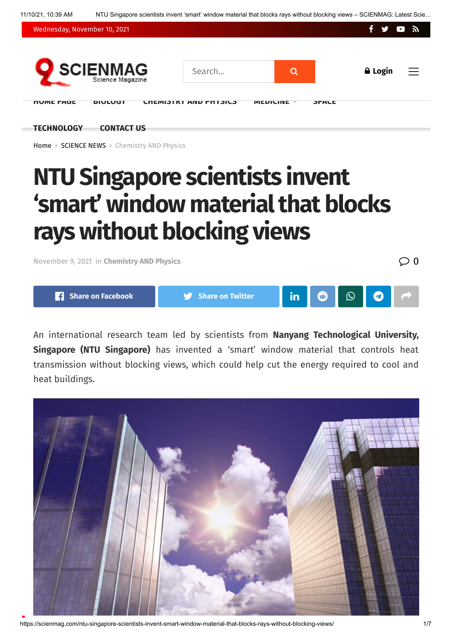11/10/21, 10:39 AM NTU Singapore scientists invent 'smart' window material that blocks rays without blocking views – SCIENMAG: Latest Scie…



**[TECHNOLOGY](https://scienmag.com/category/science-news/technology-and-engineering/) [CONTACT](https://scienmag.com/contact-us/) US**

[Home](https://scienmag.com/) > [SCIENCE](https://scienmag.com/category/science-news/) NEWS > [Chemistry](https://scienmag.com/category/science-news/chemistry-and-physics/) AND Physics

# **NTU Singapore scientists invent 'smart' window materialthat blocks rays without blocking views**

[November](https://scienmag.com/ntu-singapore-scientists-invent-smart-window-material-that-blocks-rays-without-blocking-views/) 9, <sup>2021</sup> in **[Chemistry](https://scienmag.com/category/science-news/chemistry-and-physics/) AND Physics** 0



An international research team led by scientists from **Nanyang Technological University, Singapore (NTU Singapore)** has invented a 'smart' window material that controls heat transmission without blocking views, which could help cut the energy required to cool and heat buildings.



https://scienmag.com/ntu-singapore-scientists-invent-smart-window-material-that-blocks-rays-without-blocking-views/ 1/7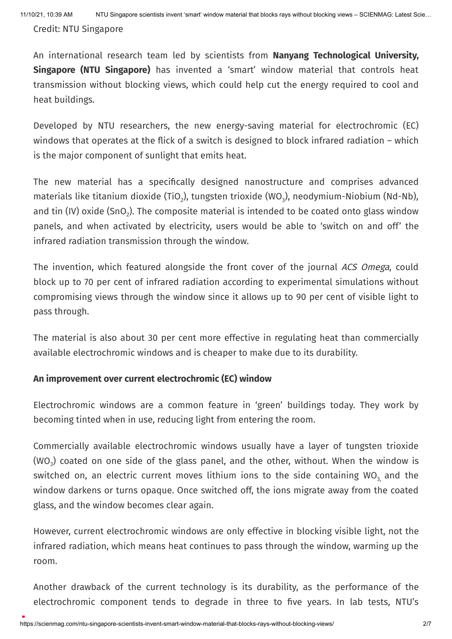Credit: NTU Singapore

An international research team led by scientists from **Nanyang Technological University, Singapore (NTU Singapore)** has invented a 'smart' window material that controls heat transmission without blocking views, which could help cut the energy required to cool and heat buildings.

Developed by NTU researchers, the new energy-saving material for electrochromic (EC) windows that operates at the flick of a switch is designed to block infrared radiation – which is the major component of sunlight that emits heat.

The new material has a specifically designed nanostructure and comprises advanced materials like titanium dioxide (TiO<sub>2</sub>), tungsten trioxide (WO<sub>3</sub>), neodymium-Niobium (Nd-Nb), and tin (IV) oxide (SnO $_{2}$ ). The composite material is intended to be coated onto glass window panels, and when activated by electricity, users would be able to 'switch on and off' the infrared radiation transmission through the window.

The invention, which featured alongside the front cover of the journal ACS Omega, could block up to 70 per cent of infrared radiation according to experimental simulations without compromising views through the window since it allows up to 90 per cent of visible light to pass through.

The material is also about 30 per cent more effective in regulating heat than commercially available electrochromic windows and is cheaper to make due to its durability.

#### **An improvement over current electrochromic (EC) window**

Electrochromic windows are a common feature in 'green' buildings today. They work by becoming tinted when in use, reducing light from entering the room.

Commercially available electrochromic windows usually have a layer of tungsten trioxide (WO $_{\text{3}}$ ) coated on one side of the glass panel, and the other, without. When the window is switched on, an electric current moves lithium ions to the side containing WO $_{\text{3,}}$  and the window darkens or turns opaque. Once switched off, the ions migrate away from the coated glass, and the window becomes clear again.

However, current electrochromic windows are only effective in blocking visible light, not the infrared radiation, which means heat continues to pass through the window, warming up the room.

Another drawback of the current technology is its durability, as the performance of the electrochromic component tends to degrade in three to five years. In lab tests, NTU's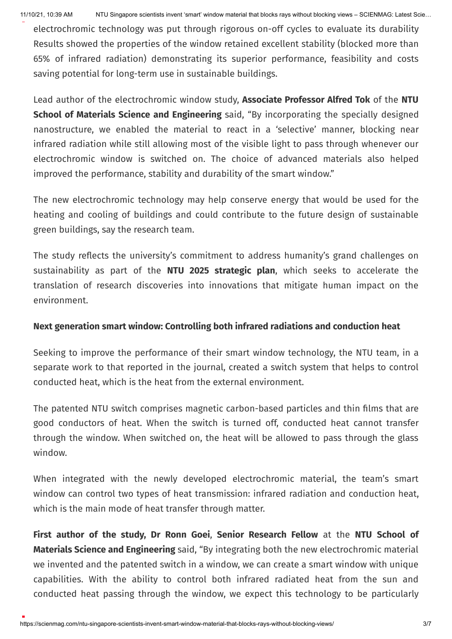11/10/21, 10:39 AM NTU Singapore scientists invent 'smart' window material that blocks rays without blocking views – SCIENMAG: Latest Scie…

electrochromic technology was put through rigorous on-off cycles to evaluate its durability Results showed the properties of the window retained excellent stability (blocked more than 65% of infrared radiation) demonstrating its superior performance, feasibility and costs saving potential for long-term use in sustainable buildings.

Lead author of the electrochromic window study, **Associate Professor Alfred Tok** of the **NTU School of Materials Science and Engineering** said, "By incorporating the specially designed nanostructure, we enabled the material to react in a 'selective' manner, blocking near infrared radiation while still allowing most of the visible light to pass through whenever our electrochromic window is switched on. The choice of advanced materials also helped improved the performance, stability and durability of the smart window."

The new electrochromic technology may help conserve energy that would be used for the heating and cooling of buildings and could contribute to the future design of sustainable green buildings, say the research team.

The study reflects the university's commitment to address humanity's grand challenges on sustainability as part of the **NTU 2025 strategic plan**, which seeks to accelerate the translation of research discoveries into innovations that mitigate human impact on the environment.

#### **Next generation smart window: Controlling both infrared radiations and conduction heat**

Seeking to improve the performance of their smart window technology, the NTU team, in a separate work to that reported in the journal, created a switch system that helps to control conducted heat, which is the heat from the external environment.

The patented NTU switch comprises magnetic carbon-based particles and thin films that are good conductors of heat. When the switch is turned off, conducted heat cannot transfer through the window. When switched on, the heat will be allowed to pass through the glass window.

When integrated with the newly developed electrochromic material, the team's smart window can control two types of heat transmission: infrared radiation and conduction heat, which is the main mode of heat transfer through matter.

**First author of the study, Dr Ronn Goei**, **Senior Research Fellow** at the **NTU School of Materials Science and Engineering** said, "By integrating both the new electrochromic material we invented and the patented switch in a window, we can create a smart window with unique capabilities. With the ability to control both infrared radiated heat from the sun and conducted heat passing through the window, we expect this technology to be particularly